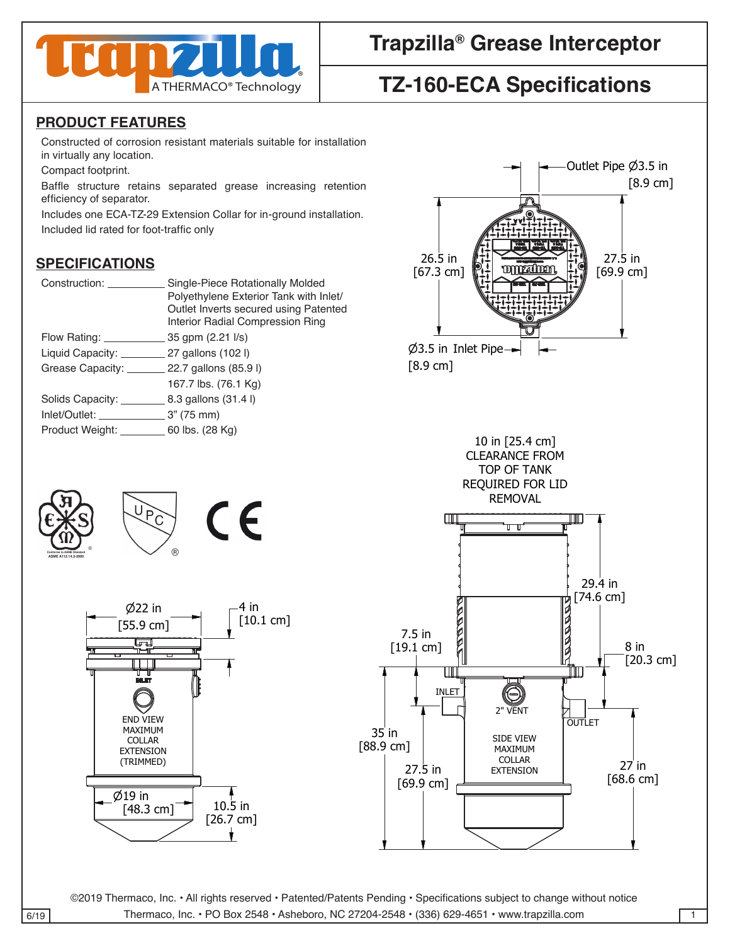

# **Trapzilla® Grease Interceptor** 4

## **TZ-160-ECA Specifications**

#### **PRODUCT FEATURES**

Constructed of corrosion resistant materials suitable for installation in virtually any location.

Compact footprint.

Baffle structure retains separated grease increasing retention efficiency of separator.

Includes one ECA-TZ-29 Extension Collar for in-ground installation. Included lid rated for foot-traffic only

#### **SPECIFICATIONS**

| Construction:                                  | Single-Piece Rotationally Molded       |
|------------------------------------------------|----------------------------------------|
|                                                | Polyethylene Exterior Tank with Inlet/ |
|                                                | Outlet Inverts secured using Patented  |
|                                                | Interior Radial Compression Ring       |
| Flow Rating: $\qquad \qquad 35$ gpm (2.21 l/s) |                                        |
| Liquid Capacity: 27 gallons (102)              |                                        |
| Grease Capacity: 22.7 gallons (85.9 l)         |                                        |
|                                                | 167.7 lbs. (76.1 Kg)                   |
|                                                |                                        |
| $lnlet/Outlet:$ $3" (75 mm)$                   |                                        |
| Product Weight: 60 lbs. (28 Kg)                |                                        |
|                                                |                                        |

 $\epsilon$ 





©2019 Thermaco, Inc. • All rights reserved • Patented/Patents Pending • Specifications subject to change without notice 6/19 Thermaco, Inc. • PO Box 2548 • Asheboro, NC 27204-2548 • (336) 629-4651 • www.trapzilla.com 1

3.5 in

 $\sim$  $\bigwedge$ <sup>H</sup>

**ASME A112.14.3-2000**

 $\ge$  $\sim$   $\sim$  F

Conforms to ASME Standard<br>
ASME A112.14.3-2000

 $\| \cdot \|$ 

D D